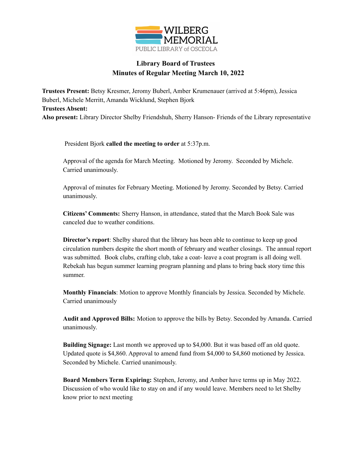

## **Library Board of Trustees Minutes of Regular Meeting March 10, 2022**

**Trustees Present:** Betsy Kresmer, Jeromy Buberl, Amber Krumenauer (arrived at 5:46pm), Jessica Buberl, Michele Merritt, Amanda Wicklund, Stephen Bjork **Trustees Absent: Also present:** Library Director Shelby Friendshuh, Sherry Hanson- Friends of the Library representative

President Bjork **called the meeting to order** at 5:37p.m.

Approval of the agenda for March Meeting. Motioned by Jeromy. Seconded by Michele. Carried unanimously.

Approval of minutes for February Meeting. Motioned by Jeromy. Seconded by Betsy. Carried unanimously.

**Citizens' Comments:** Sherry Hanson, in attendance, stated that the March Book Sale was canceled due to weather conditions.

**Director's report**: Shelby shared that the library has been able to continue to keep up good circulation numbers despite the short month of february and weather closings. The annual report was submitted. Book clubs, crafting club, take a coat- leave a coat program is all doing well. Rebekah has begun summer learning program planning and plans to bring back story time this summer.

**Monthly Financials**: Motion to approve Monthly financials by Jessica. Seconded by Michele. Carried unanimously

**Audit and Approved Bills:** Motion to approve the bills by Betsy. Seconded by Amanda. Carried unanimously.

**Building Signage:** Last month we approved up to \$4,000. But it was based off an old quote. Updated quote is \$4,860. Approval to amend fund from \$4,000 to \$4,860 motioned by Jessica. Seconded by Michele. Carried unanimously.

**Board Members Term Expiring:** Stephen, Jeromy, and Amber have terms up in May 2022. Discussion of who would like to stay on and if any would leave. Members need to let Shelby know prior to next meeting